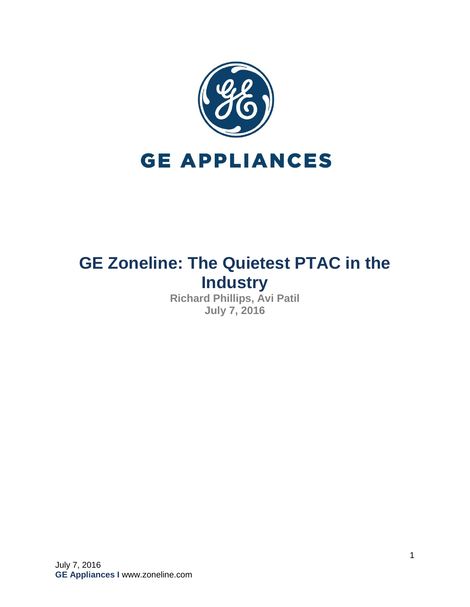

# **GE Zoneline: The Quietest PTAC in the Industry**

**Richard Phillips, Avi Patil July 7, 2016**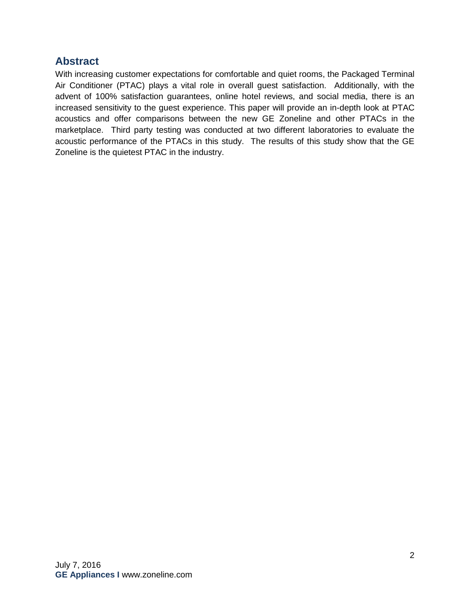## <span id="page-1-0"></span>**Abstract**

With increasing customer expectations for comfortable and quiet rooms, the Packaged Terminal Air Conditioner (PTAC) plays a vital role in overall guest satisfaction. Additionally, with the advent of 100% satisfaction guarantees, online hotel reviews, and social media, there is an increased sensitivity to the guest experience. This paper will provide an in-depth look at PTAC acoustics and offer comparisons between the new GE Zoneline and other PTACs in the marketplace. Third party testing was conducted at two different laboratories to evaluate the acoustic performance of the PTACs in this study. The results of this study show that the GE Zoneline is the quietest PTAC in the industry.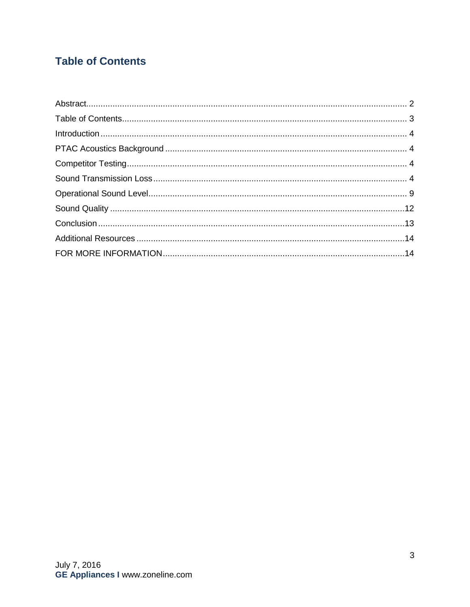# <span id="page-2-0"></span>**Table of Contents**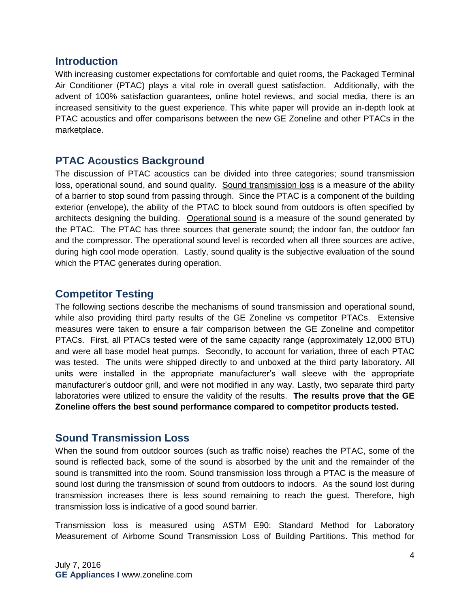#### <span id="page-3-0"></span>**Introduction**

With increasing customer expectations for comfortable and quiet rooms, the Packaged Terminal Air Conditioner (PTAC) plays a vital role in overall guest satisfaction. Additionally, with the advent of 100% satisfaction guarantees, online hotel reviews, and social media, there is an increased sensitivity to the guest experience. This white paper will provide an in-depth look at PTAC acoustics and offer comparisons between the new GE Zoneline and other PTACs in the marketplace.

#### <span id="page-3-1"></span>**PTAC Acoustics Background**

The discussion of PTAC acoustics can be divided into three categories; sound transmission loss, operational sound, and sound quality. Sound transmission loss is a measure of the ability of a barrier to stop sound from passing through. Since the PTAC is a component of the building exterior (envelope), the ability of the PTAC to block sound from outdoors is often specified by architects designing the building. Operational sound is a measure of the sound generated by the PTAC. The PTAC has three sources that generate sound; the indoor fan, the outdoor fan and the compressor. The operational sound level is recorded when all three sources are active, during high cool mode operation. Lastly, sound quality is the subjective evaluation of the sound which the PTAC generates during operation.

#### <span id="page-3-2"></span>**Competitor Testing**

The following sections describe the mechanisms of sound transmission and operational sound, while also providing third party results of the GE Zoneline vs competitor PTACs. Extensive measures were taken to ensure a fair comparison between the GE Zoneline and competitor PTACs. First, all PTACs tested were of the same capacity range (approximately 12,000 BTU) and were all base model heat pumps. Secondly, to account for variation, three of each PTAC was tested. The units were shipped directly to and unboxed at the third party laboratory. All units were installed in the appropriate manufacturer's wall sleeve with the appropriate manufacturer's outdoor grill, and were not modified in any way. Lastly, two separate third party laboratories were utilized to ensure the validity of the results. **The results prove that the GE Zoneline offers the best sound performance compared to competitor products tested.**

#### <span id="page-3-3"></span>**Sound Transmission Loss**

When the sound from outdoor sources (such as traffic noise) reaches the PTAC, some of the sound is reflected back, some of the sound is absorbed by the unit and the remainder of the sound is transmitted into the room. Sound transmission loss through a PTAC is the measure of sound lost during the transmission of sound from outdoors to indoors. As the sound lost during transmission increases there is less sound remaining to reach the guest. Therefore, high transmission loss is indicative of a good sound barrier.

Transmission loss is measured using ASTM E90: Standard Method for Laboratory Measurement of Airborne Sound Transmission Loss of Building Partitions. This method for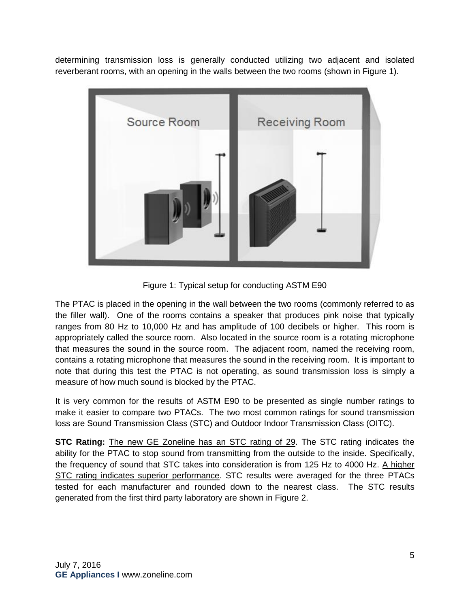determining transmission loss is generally conducted utilizing two adjacent and isolated reverberant rooms, with an opening in the walls between the two rooms (shown in Figure 1).



Figure 1: Typical setup for conducting ASTM E90

The PTAC is placed in the opening in the wall between the two rooms (commonly referred to as the filler wall). One of the rooms contains a speaker that produces pink noise that typically ranges from 80 Hz to 10,000 Hz and has amplitude of 100 decibels or higher. This room is appropriately called the source room. Also located in the source room is a rotating microphone that measures the sound in the source room. The adjacent room, named the receiving room, contains a rotating microphone that measures the sound in the receiving room. It is important to note that during this test the PTAC is not operating, as sound transmission loss is simply a measure of how much sound is blocked by the PTAC.

It is very common for the results of ASTM E90 to be presented as single number ratings to make it easier to compare two PTACs. The two most common ratings for sound transmission loss are Sound Transmission Class (STC) and Outdoor Indoor Transmission Class (OITC).

**STC Rating:** The new GE Zoneline has an STC rating of 29. The STC rating indicates the ability for the PTAC to stop sound from transmitting from the outside to the inside. Specifically, the frequency of sound that STC takes into consideration is from 125 Hz to 4000 Hz. A higher STC rating indicates superior performance. STC results were averaged for the three PTACs tested for each manufacturer and rounded down to the nearest class. The STC results generated from the first third party laboratory are shown in Figure 2.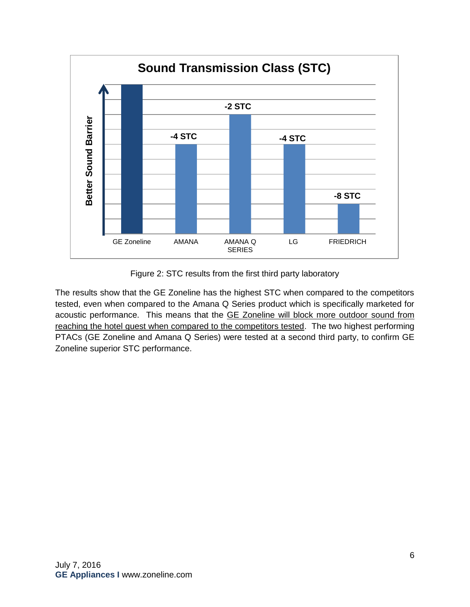

Figure 2: STC results from the first third party laboratory

The results show that the GE Zoneline has the highest STC when compared to the competitors tested, even when compared to the Amana Q Series product which is specifically marketed for acoustic performance. This means that the GE Zoneline will block more outdoor sound from reaching the hotel guest when compared to the competitors tested. The two highest performing PTACs (GE Zoneline and Amana Q Series) were tested at a second third party, to confirm GE Zoneline superior STC performance.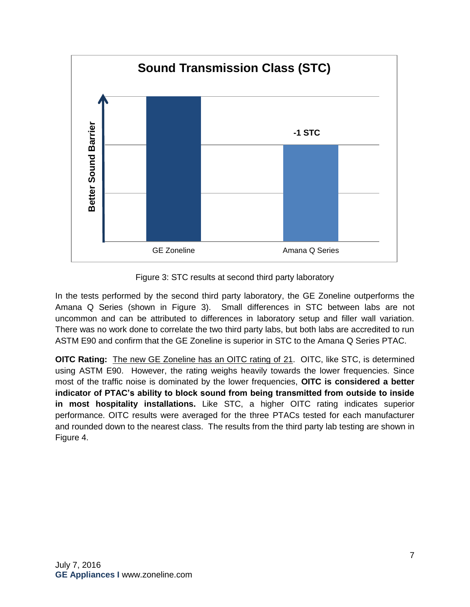

Figure 3: STC results at second third party laboratory

In the tests performed by the second third party laboratory, the GE Zoneline outperforms the Amana Q Series (shown in Figure 3). Small differences in STC between labs are not uncommon and can be attributed to differences in laboratory setup and filler wall variation. There was no work done to correlate the two third party labs, but both labs are accredited to run ASTM E90 and confirm that the GE Zoneline is superior in STC to the Amana Q Series PTAC.

**OITC Rating:** The new GE Zoneline has an OITC rating of 21. OITC, like STC, is determined using ASTM E90. However, the rating weighs heavily towards the lower frequencies. Since most of the traffic noise is dominated by the lower frequencies, **OITC is considered a better indicator of PTAC's ability to block sound from being transmitted from outside to inside in most hospitality installations.** Like STC, a higher OITC rating indicates superior performance. OITC results were averaged for the three PTACs tested for each manufacturer and rounded down to the nearest class. The results from the third party lab testing are shown in Figure 4.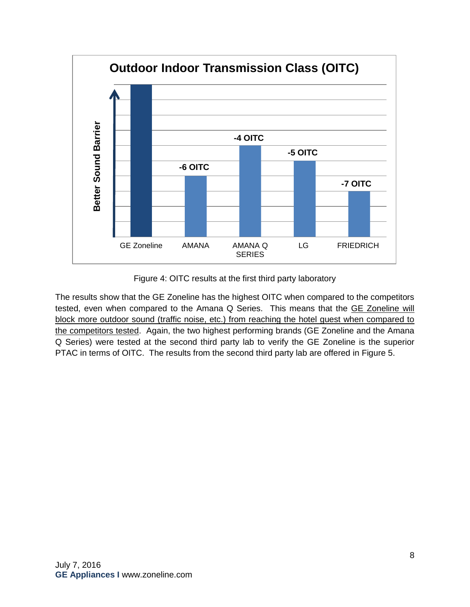

Figure 4: OITC results at the first third party laboratory

The results show that the GE Zoneline has the highest OITC when compared to the competitors tested, even when compared to the Amana Q Series. This means that the GE Zoneline will block more outdoor sound (traffic noise, etc.) from reaching the hotel guest when compared to the competitors tested. Again, the two highest performing brands (GE Zoneline and the Amana Q Series) were tested at the second third party lab to verify the GE Zoneline is the superior PTAC in terms of OITC. The results from the second third party lab are offered in Figure 5.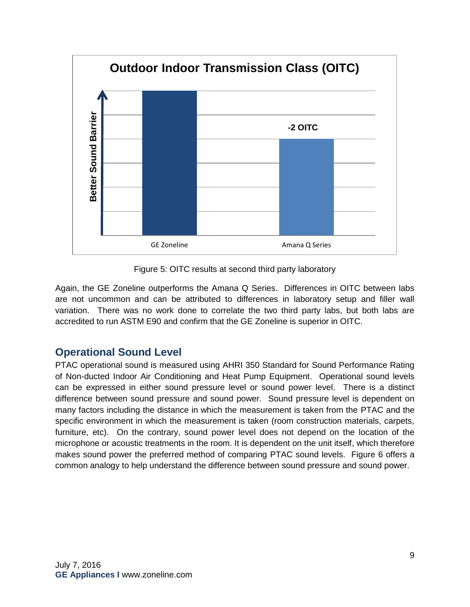

Figure 5: OITC results at second third party laboratory

Again, the GE Zoneline outperforms the Amana Q Series. Differences in OITC between labs are not uncommon and can be attributed to differences in laboratory setup and filler wall variation. There was no work done to correlate the two third party labs, but both labs are accredited to run ASTM E90 and confirm that the GE Zoneline is superior in OITC.

### <span id="page-8-0"></span>**Operational Sound Level**

PTAC operational sound is measured using AHRI 350 Standard for Sound Performance Rating of Non-ducted Indoor Air Conditioning and Heat Pump Equipment. Operational sound levels can be expressed in either sound pressure level or sound power level. There is a distinct difference between sound pressure and sound power. Sound pressure level is dependent on many factors including the distance in which the measurement is taken from the PTAC and the specific environment in which the measurement is taken (room construction materials, carpets, furniture, etc). On the contrary, sound power level does not depend on the location of the microphone or acoustic treatments in the room. It is dependent on the unit itself, which therefore makes sound power the preferred method of comparing PTAC sound levels. Figure 6 offers a common analogy to help understand the difference between sound pressure and sound power.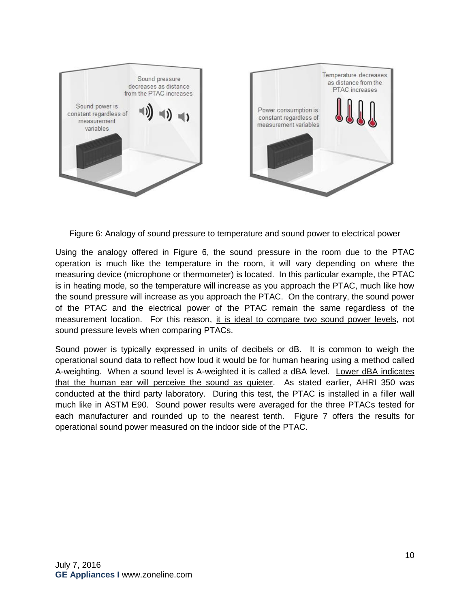

Figure 6: Analogy of sound pressure to temperature and sound power to electrical power

Using the analogy offered in Figure 6, the sound pressure in the room due to the PTAC operation is much like the temperature in the room, it will vary depending on where the measuring device (microphone or thermometer) is located. In this particular example, the PTAC is in heating mode, so the temperature will increase as you approach the PTAC, much like how the sound pressure will increase as you approach the PTAC. On the contrary, the sound power of the PTAC and the electrical power of the PTAC remain the same regardless of the measurement location. For this reason, it is ideal to compare two sound power levels, not sound pressure levels when comparing PTACs.

Sound power is typically expressed in units of decibels or dB. It is common to weigh the operational sound data to reflect how loud it would be for human hearing using a method called A-weighting. When a sound level is A-weighted it is called a dBA level. Lower dBA indicates that the human ear will perceive the sound as quieter. As stated earlier, AHRI 350 was conducted at the third party laboratory. During this test, the PTAC is installed in a filler wall much like in ASTM E90. Sound power results were averaged for the three PTACs tested for each manufacturer and rounded up to the nearest tenth. Figure 7 offers the results for operational sound power measured on the indoor side of the PTAC.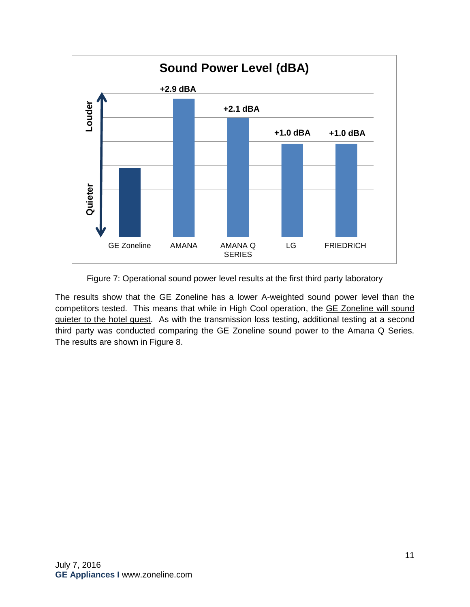

Figure 7: Operational sound power level results at the first third party laboratory

The results show that the GE Zoneline has a lower A-weighted sound power level than the competitors tested. This means that while in High Cool operation, the GE Zoneline will sound quieter to the hotel guest. As with the transmission loss testing, additional testing at a second third party was conducted comparing the GE Zoneline sound power to the Amana Q Series. The results are shown in Figure 8.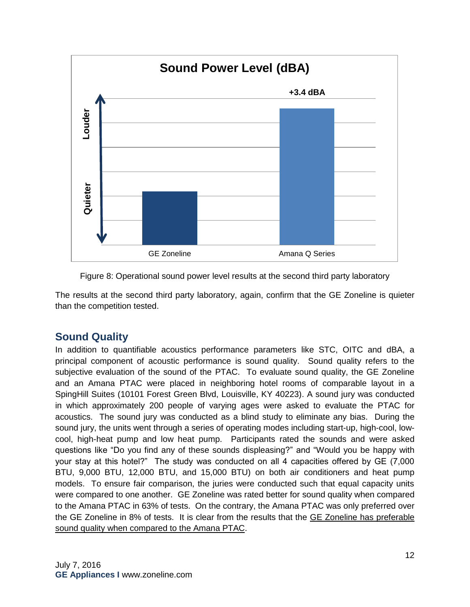



The results at the second third party laboratory, again, confirm that the GE Zoneline is quieter than the competition tested.

## <span id="page-11-0"></span>**Sound Quality**

In addition to quantifiable acoustics performance parameters like STC, OITC and dBA, a principal component of acoustic performance is sound quality. Sound quality refers to the subjective evaluation of the sound of the PTAC. To evaluate sound quality, the GE Zoneline and an Amana PTAC were placed in neighboring hotel rooms of comparable layout in a SpingHill Suites (10101 Forest Green Blvd, Louisville, KY 40223). A sound jury was conducted in which approximately 200 people of varying ages were asked to evaluate the PTAC for acoustics. The sound jury was conducted as a blind study to eliminate any bias. During the sound jury, the units went through a series of operating modes including start-up, high-cool, lowcool, high-heat pump and low heat pump. Participants rated the sounds and were asked questions like "Do you find any of these sounds displeasing?" and "Would you be happy with your stay at this hotel?" The study was conducted on all 4 capacities offered by GE (7,000 BTU, 9,000 BTU, 12,000 BTU, and 15,000 BTU) on both air conditioners and heat pump models. To ensure fair comparison, the juries were conducted such that equal capacity units were compared to one another. GE Zoneline was rated better for sound quality when compared to the Amana PTAC in 63% of tests. On the contrary, the Amana PTAC was only preferred over the GE Zoneline in 8% of tests. It is clear from the results that the GE Zoneline has preferable sound quality when compared to the Amana PTAC.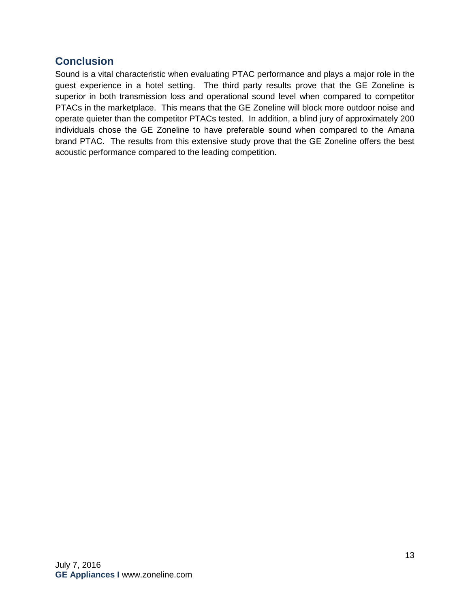## <span id="page-12-0"></span>**Conclusion**

Sound is a vital characteristic when evaluating PTAC performance and plays a major role in the guest experience in a hotel setting. The third party results prove that the GE Zoneline is superior in both transmission loss and operational sound level when compared to competitor PTACs in the marketplace. This means that the GE Zoneline will block more outdoor noise and operate quieter than the competitor PTACs tested. In addition, a blind jury of approximately 200 individuals chose the GE Zoneline to have preferable sound when compared to the Amana brand PTAC. The results from this extensive study prove that the GE Zoneline offers the best acoustic performance compared to the leading competition.